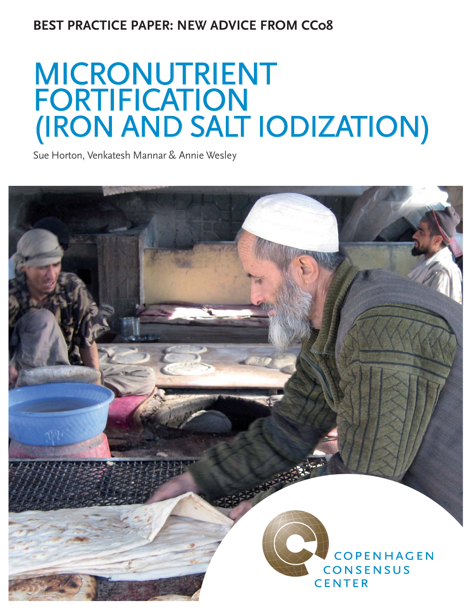# **BEST PRACTICE PAPER: NEW ADVICE FROM CC08**

# MICRONUTRIENT<br>FORTIFICATION<br>(IRON AND SALT IODIZATION)

Sue Horton, Venkatesh Mannar & Annie Wesley

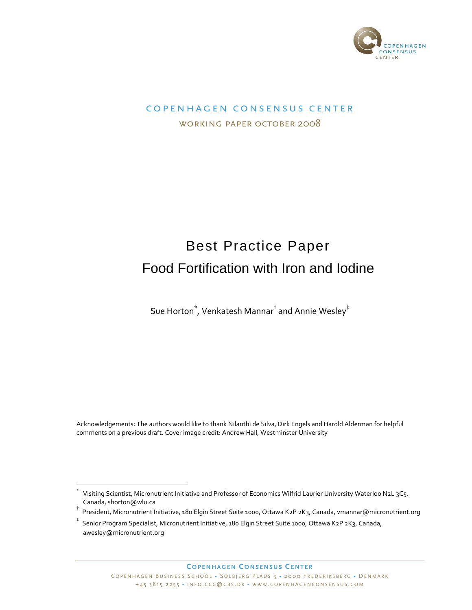

# COPENHAGEN CONSENSUS CENTER WORKING PAPER OCTOBER 2008

# Best Practice Paper Food Fortification with Iron and Iodine

Sue Horton $\check{~}$ , Venkatesh Mannar $^\dagger$  and Annie Wesley $^\ddagger$ 

Acknowledgements: The authors would like to thank Nilanthi de Silva, Dirk Engels and Harold Alderman for helpful comments on a previous draft. Cover image credit: Andrew Hall, Westminster University

**COPENHAGEN CONSENSUS CENTER**

<sup>+</sup> Visiting Scientist, Micronutrient Initiative and Professor of Economics Wilfrid Laurier University Waterloo N2L 3C5, Canada, shorton@wlu.ca

<sup>,</sup> President, Micronutrient Initiative, 180 Elgin Street Suite 1000, Ottawa K2P 2K3, Canada, vmannar@micronutrient.org

 $\ddagger$ Senior Program Specialist, Micronutrient Initiative, 180 Elgin Street Suite 1000, Ottawa K2P 2K3, Canada, awesley@micronutrient.org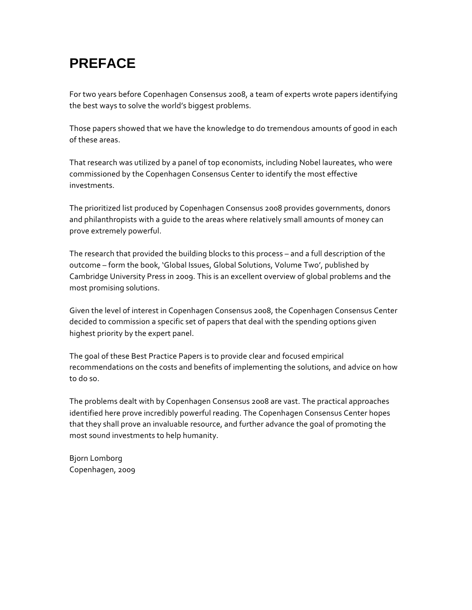# **PREFACE**

For two years before Copenhagen Consensus 2008, a team of experts wrote papers identifying the best ways to solve the world's biggest problems.

Those papers showed that we have the knowledge to do tremendous amounts of good in each of these areas.

That research was utilized by a panel of top economists, including Nobel laureates, who were commissioned by the Copenhagen Consensus Center to identify the most effective investments.

The prioritized list produced by Copenhagen Consensus 2008 provides governments, donors and philanthropists with a quide to the areas where relatively small amounts of money can prove extremely powerful.

The research that provided the building blocks to this process - and a full description of the outcome - form the book, 'Global Issues, Global Solutions, Volume Two', published by Cambridge University Press in 2009. This is an excellent overview of global problems and the most promising solutions.

Given the level of interest in Copenhagen Consensus 2008, the Copenhagen Consensus Center decided to commission a specific set of papers that deal with the spending options given highest priority by the expert panel.

The goal of these Best Practice Papers is to provide clear and focused empirical recommendations on the costs and benefits of implementing the solutions, and advice on how to do so.

The problems dealt with by Copenhagen Consensus 2008 are vast. The practical approaches identified here prove incredibly powerful reading. The Copenhagen Consensus Center hopes that they shall prove an invaluable resource, and further advance the goal of promoting the most sound investments to help humanity.

**Bjorn Lomborg** Copenhagen, 2009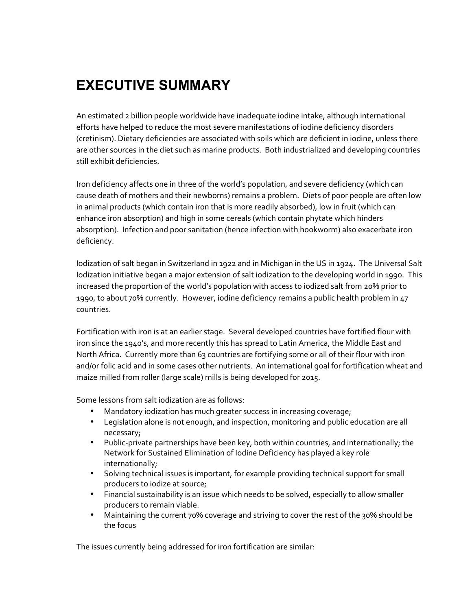# **EXECUTIVE SUMMARY**

An estimated 2 billion people worldwide have inadequate iodine intake, although international efforts have helped to reduce the most severe manifestations of iodine deficiency disorders (cretinism). Dietary deficiencies are associated with soils which are deficient in iodine, unless there are other sources in the diet such as marine products. Both industrialized and developing countries still exhibit deficiencies.

Iron deficiency affects one in three of the world's population, and severe deficiency (which can cause death of mothers and their newborns) remains a problem. Diets of poor people are often low in animal products (which contain iron that is more readily absorbed), low in fruit (which can enhance iron absorption) and high in some cereals (which contain phytate which hinders absorption). Infection and poor sanitation (hence infection with hookworm) also exacerbate iron deficiency.

Iodization of salt began in Switzerland in 1922 and in Michigan in the US in 1924. The Universal Salt Iodization initiative began a major extension of salt iodization to the developing world in 1990. This increased the proportion of the world's population with access to iodized salt from 20% prior to 1990, to about 70% currently. However, iodine deficiency remains a public health problem in 47 countries.

Fortification with iron is at an earlier stage. Several developed countries have fortified flour with iron since the 1940's, and more recently this has spread to Latin America, the Middle East and North Africa. Currently more than 63 countries are fortifying some or all of their flour with iron and/or folic acid and in some cases other nutrients. An international goal for fortification wheat and maize milled from roller (large scale) mills is being developed for 2015.

Some lessons from salt iodization are as follows:

- Mandatory iodization has much greater success in increasing coverage;
- Legislation alone is not enough, and inspection, monitoring and public education are all necessary;
- Public-private partnerships have been key, both within countries, and internationally; the Network for Sustained Elimination of Iodine Deficiency has played a key role internationally;
- Solving technical issues is important, for example providing technical support for small producers to iodize at source;
- Financial sustainability is an issue which needs to be solved, especially to allow smaller producers to remain viable.
- Maintaining the current 70% coverage and striving to cover the rest of the 30% should be the focus

The issues currently being addressed for iron fortification are similar: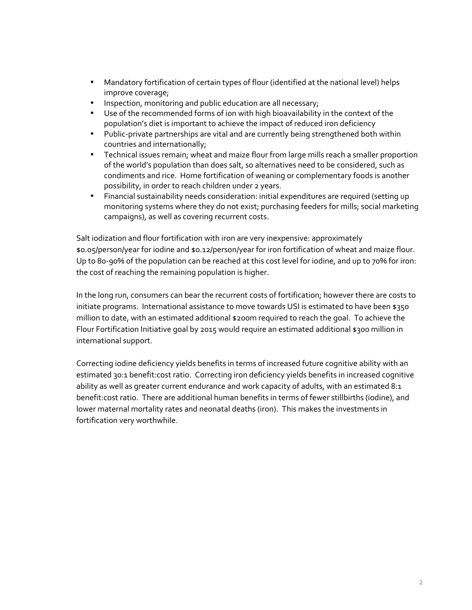- Mandatory fortification of certain types of flour (identified at the national level) helps improve coverage;
- Inspection, monitoring and public education are all necessary;
- Use of the recommended forms of ion with high bioavailability in the context of the population's diet is important to achieve the impact of reduced iron deficiency
- Public-private partnerships are vital and are currently being strengthened both within countries and internationally;
- Technical issues remain; wheat and maize flour from large mills reach a smaller proportion of the world's population than does salt, so alternatives need to be considered, such as condiments and rice. Home fortification of weaning or complementary foods is another possibility, in order to reach children under 2 years.
- Financial sustainability needs consideration: initial expenditures are required (setting up monitoring systems where they do not exist; purchasing feeders for mills; social marketing campaigns), as well as covering recurrent costs.

Salt iodization and flour fortification with iron are very inexpensive: approximately \$0.05/person/year for iodine and \$0.12/person/year for iron fortification of wheat and maize flour. Up to 80-90% of the population can be reached at this cost level for iodine, and up to 70% for iron: the cost of reaching the remaining population is higher.

In the long run, consumers can bear the recurrent costs of fortification; however there are costs to initiate programs. International assistance to move towards USI is estimated to have been \$350 million to date, with an estimated additional \$200m required to reach the goal. To achieve the Flour Fortification Initiative goal by 2015 would require an estimated additional \$300 million in international support.

Correcting iodine deficiency yields benefits in terms of increased future cognitive ability with an estimated 30:1 benefit:cost ratio. Correcting iron deficiency yields benefits in increased cognitive ability as well as greater current endurance and work capacity of adults, with an estimated 8:1 benefit:cost ratio. There are additional human benefits in terms of fewer stillbirths (iodine), and lower maternal mortality rates and neonatal deaths (iron). This makes the investments in fortification very worthwhile.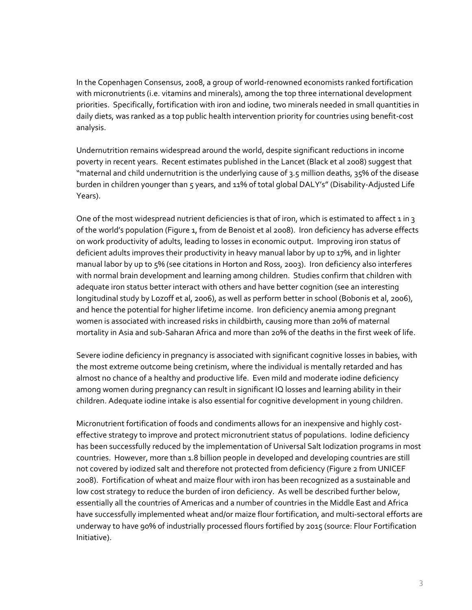In the Copenhagen Consensus, 2008, a group of world‐renowned economists ranked fortification with micronutrients (i.e. vitamins and minerals), among the top three international development priorities. Specifically, fortification with iron and iodine, two minerals needed in small quantities in daily diets, was ranked as a top public health intervention priority for countries using benefit‐cost analysis.

Undernutrition remains widespread around the world, despite significant reductions in income poverty in recent years. Recent estimates published in the Lancet (Black et al 2008) suggest that "maternal and child undernutrition is the underlying cause of 3.5 million deaths, 35% of the disease burden in children younger than 5 years, and 11% of total global DALY's" (Disability‐Adjusted Life Years).

One of the most widespread nutrient deficiencies is that of iron, which is estimated to affect 1 in 3 of the world's population (Figure 1, from de Benoist et al 2008). Iron deficiency has adverse effects on work productivity of adults, leading to losses in economic output. Improving iron status of deficient adults improves their productivity in heavy manual labor by up to 17%, and in lighter manual labor by up to 5% (see citations in Horton and Ross, 2003). Iron deficiency also interferes with normal brain development and learning among children. Studies confirm that children with adequate iron status better interact with others and have better cognition (see an interesting longitudinal study by Lozoff et al, 2006), as well as perform better in school (Bobonis et al, 2006), and hence the potential for higher lifetime income. Iron deficiency anemia among pregnant women is associated with increased risks in childbirth, causing more than 20% of maternal mortality in Asia and sub‐Saharan Africa and more than 20% of the deaths in the first week of life.

Severe iodine deficiency in pregnancy is associated with significant cognitive losses in babies, with the most extreme outcome being cretinism, where the individual is mentally retarded and has almost no chance of a healthy and productive life. Even mild and moderate iodine deficiency among women during pregnancy can result in significant IQ losses and learning ability in their children. Adequate iodine intake is also essential for cognitive development in young children.

Micronutrient fortification of foods and condiments allows for an inexpensive and highly cost‐ effective strategy to improve and protect micronutrient status of populations. Iodine deficiency has been successfully reduced by the implementation of Universal Salt Iodization programs in most countries. However, more than 1.8 billion people in developed and developing countries are still not covered by iodized salt and therefore not protected from deficiency (Figure 2 from UNICEF 2008). Fortification of wheat and maize flour with iron has been recognized as a sustainable and low cost strategy to reduce the burden of iron deficiency. As well be described further below, essentially all the countries of Americas and a number of countries in the Middle East and Africa have successfully implemented wheat and/or maize flour fortification, and multi-sectoral efforts are underway to have 90% of industrially processed flours fortified by 2015 (source: Flour Fortification Initiative).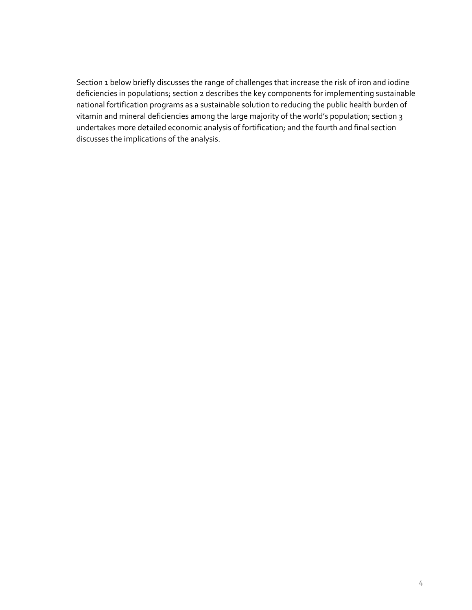Section 1 below briefly discusses the range of challenges that increase the risk of iron and iodine deficiencies in populations; section 2 describes the key components for implementing sustainable national fortification programs as a sustainable solution to reducing the public health burden of vitamin and mineral deficiencies among the large majority of the world's population; section 3 undertakes more detailed economic analysis of fortification; and the fourth and final section discusses the implications of the analysis.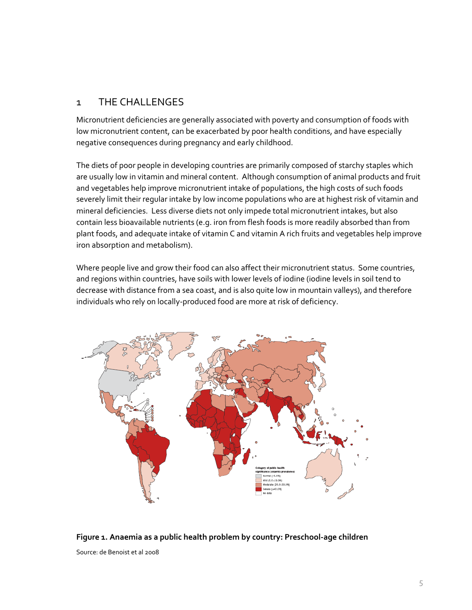# 1 THE CHALLENGES

Micronutrient deficiencies are generally associated with poverty and consumption of foods with low micronutrient content, can be exacerbated by poor health conditions, and have especially negative consequences during pregnancy and early childhood.

The diets of poor people in developing countries are primarily composed of starchy staples which are usually low in vitamin and mineral content. Although consumption of animal products and fruit and vegetables help improve micronutrient intake of populations, the high costs of such foods severely limit their regular intake by low income populations who are at highest risk of vitamin and mineral deficiencies. Less diverse diets not only impede total micronutrient intakes, but also contain less bioavailable nutrients (e.g. iron from flesh foods is more readily absorbed than from plant foods, and adequate intake of vitamin C and vitamin A rich fruits and vegetables help improve iron absorption and metabolism).

Where people live and grow their food can also affect their micronutrient status. Some countries, and regions within countries, have soils with lower levels of iodine (iodine levels in soil tend to decrease with distance from a sea coast, and is also quite low in mountain valleys), and therefore individuals who rely on locally‐produced food are more at risk of deficiency.



**Figure 1. Anaemia as a public health problem by country: Preschool‐age children** Source: de Benoist et al 2008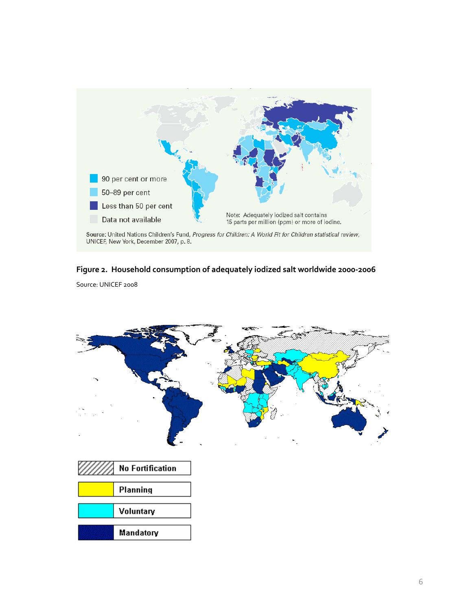

## **Figure 2. Household consumption of adequately iodized salt worldwide 2000‐2006**

Source: UNICEF 2008

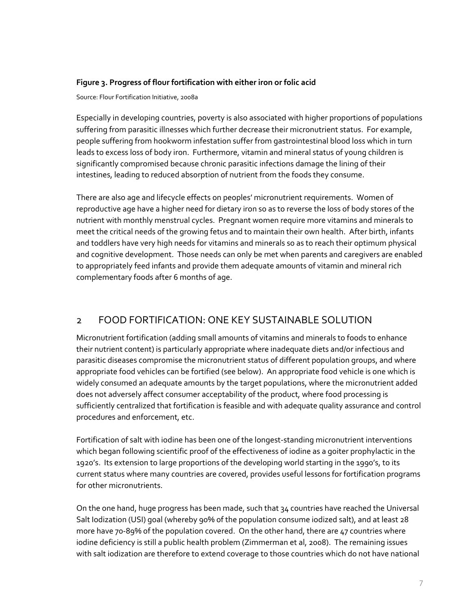## **Figure 3. Progress of flour fortification with either iron or folic acid**

Source: Flour Fortification Initiative, 2008a

Especially in developing countries, poverty is also associated with higher proportions of populations suffering from parasitic illnesses which further decrease their micronutrient status. For example, people suffering from hookworm infestation suffer from gastrointestinal blood loss which in turn leads to excess loss of body iron. Furthermore, vitamin and mineral status of young children is significantly compromised because chronic parasitic infections damage the lining of their intestines, leading to reduced absorption of nutrient from the foods they consume.

There are also age and lifecycle effects on peoples' micronutrient requirements. Women of reproductive age have a higher need for dietary iron so as to reverse the loss of body stores of the nutrient with monthly menstrual cycles. Pregnant women require more vitamins and minerals to meet the critical needs of the growing fetus and to maintain their own health. After birth, infants and toddlers have very high needs for vitamins and minerals so as to reach their optimum physical and cognitive development. Those needs can only be met when parents and caregivers are enabled to appropriately feed infants and provide them adequate amounts of vitamin and mineral rich complementary foods after 6 months of age.

# 2 FOOD FORTIFICATION: ONE KEY SUSTAINABLE SOLUTION

Micronutrient fortification (adding small amounts of vitamins and minerals to foods to enhance their nutrient content) is particularly appropriate where inadequate diets and/or infectious and parasitic diseases compromise the micronutrient status of different population groups, and where appropriate food vehicles can be fortified (see below). An appropriate food vehicle is one which is widely consumed an adequate amounts by the target populations, where the micronutrient added does not adversely affect consumer acceptability of the product, where food processing is sufficiently centralized that fortification is feasible and with adequate quality assurance and control procedures and enforcement, etc.

Fortification of salt with iodine has been one of the longest-standing micronutrient interventions which began following scientific proof of the effectiveness of iodine as a goiter prophylactic in the 1920's. Its extension to large proportions of the developing world starting in the 1990's, to its current status where many countries are covered, provides useful lessons for fortification programs for other micronutrients.

On the one hand, huge progress has been made, such that 34 countries have reached the Universal Salt Iodization (USI) goal (whereby 90% of the population consume iodized salt), and at least 28 more have 70-89% of the population covered. On the other hand, there are 47 countries where iodine deficiency is still a public health problem (Zimmerman et al, 2008). The remaining issues with salt iodization are therefore to extend coverage to those countries which do not have national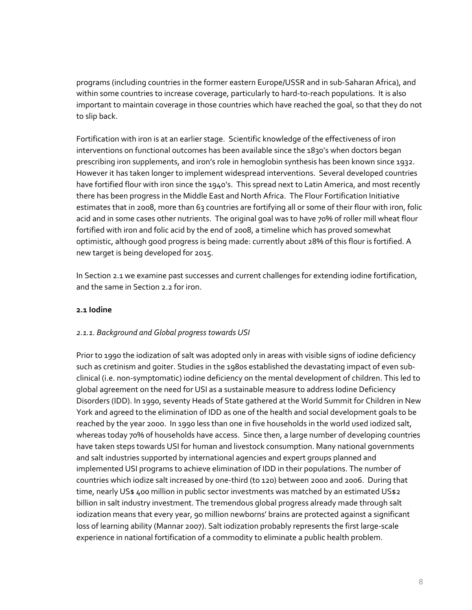programs (including countries in the former eastern Europe/USSR and in sub‐Saharan Africa), and within some countries to increase coverage, particularly to hard-to-reach populations. It is also important to maintain coverage in those countries which have reached the goal, so that they do not to slip back.

Fortification with iron is at an earlier stage. Scientific knowledge of the effectiveness of iron interventions on functional outcomes has been available since the 1830's when doctors began prescribing iron supplements, and iron's role in hemoglobin synthesis has been known since 1932. However it has taken longer to implement widespread interventions. Several developed countries have fortified flour with iron since the 1940's. This spread next to Latin America, and most recently there has been progress in the Middle East and North Africa. The Flour Fortification Initiative estimates that in 2008, more than 63 countries are fortifying all or some of their flour with iron, folic acid and in some cases other nutrients. The original goal was to have 70% of roller mill wheat flour fortified with iron and folic acid by the end of 2008, a timeline which has proved somewhat optimistic, although good progress is being made: currently about 28% of this flour is fortified. A new target is being developed for 2015.

In Section 2.1 we examine past successes and current challenges for extending iodine fortification, and the same in Section 2.2 for iron.

### **2.1 Iodine**

#### *2.1.1. Background and Global progress towards USI*

Prior to 1990 the iodization of salt was adopted only in areas with visible signs of iodine deficiency such as cretinism and goiter. Studies in the 1980s established the devastating impact of even subclinical (i.e. non‐symptomatic) iodine deficiency on the mental development of children. This led to global agreement on the need for USI as a sustainable measure to address Iodine Deficiency Disorders (IDD). In 1990, seventy Heads of State gathered at the World Summit for Children in New York and agreed to the elimination of IDD as one of the health and social development goals to be reached by the year 2000. In 1990 less than one in five households in the world used iodized salt, whereas today 70% of households have access. Since then, a large number of developing countries have taken steps towards USI for human and livestock consumption. Many national governments and salt industries supported by international agencies and expert groups planned and implemented USI programs to achieve elimination of IDD in their populations. The number of countries which iodize salt increased by one‐third (to 120) between 2000 and 2006. During that time, nearly US\$ 400 million in public sector investments was matched by an estimated US\$2 billion in salt industry investment. The tremendous global progress already made through salt iodization means that every year, 90 million newborns' brains are protected against a significant loss of learning ability (Mannar 2007). Salt iodization probably represents the first large‐scale experience in national fortification of a commodity to eliminate a public health problem.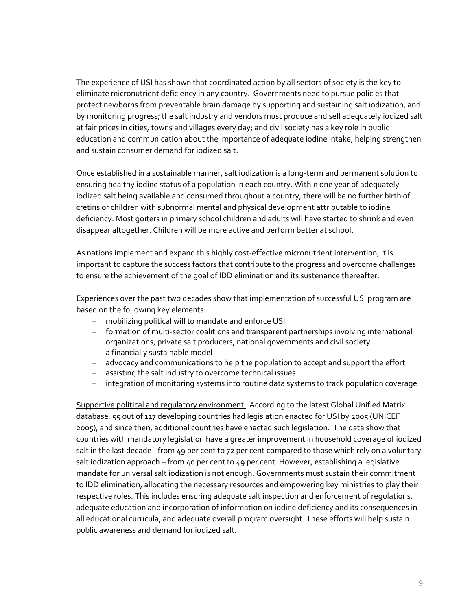The experience of USI has shown that coordinated action by all sectors of society is the key to eliminate micronutrient deficiency in any country. Governments need to pursue policies that protect newborns from preventable brain damage by supporting and sustaining salt iodization, and by monitoring progress; the salt industry and vendors must produce and sell adequately iodized salt at fair prices in cities, towns and villages every day; and civil society has a key role in public education and communication about the importance of adequate iodine intake, helping strengthen and sustain consumer demand for iodized salt.

Once established in a sustainable manner, salt iodization is a long‐term and permanent solution to ensuring healthy iodine status of a population in each country. Within one year of adequately iodized salt being available and consumed throughout a country, there will be no further birth of cretins or children with subnormal mental and physical development attributable to iodine deficiency. Most goiters in primary school children and adults will have started to shrink and even disappear altogether. Children will be more active and perform better at school.

As nations implement and expand this highly cost-effective micronutrient intervention, it is important to capture the success factors that contribute to the progress and overcome challenges to ensure the achievement of the goal of IDD elimination and its sustenance thereafter.

Experiences over the past two decades show that implementation of successful USI program are based on the following key elements:

- mobilizing political will to mandate and enforce USI
- formation of multi‐sector coalitions and transparent partnerships involving international organizations, private salt producers, national governments and civil society
- a financially sustainable model
- advocacy and communications to help the population to accept and support the effort
- assisting the salt industry to overcome technical issues
- integration of monitoring systems into routine data systems to track population coverage

Supportive political and regulatory environment: According to the latest Global Unified Matrix database, 55 out of 117 developing countries had legislation enacted for USI by 2005 (UNICEF 2005), and since then, additional countries have enacted such legislation. The data show that countries with mandatory legislation have a greater improvement in household coverage of iodized salt in the last decade - from 49 per cent to 72 per cent compared to those which rely on a voluntary salt iodization approach – from 40 per cent to 49 per cent. However, establishing a legislative mandate for universal salt iodization is not enough. Governments must sustain their commitment to IDD elimination, allocating the necessary resources and empowering key ministries to play their respective roles. This includes ensuring adequate salt inspection and enforcement of regulations, adequate education and incorporation of information on iodine deficiency and its consequences in all educational curricula, and adequate overall program oversight. These efforts will help sustain public awareness and demand for iodized salt.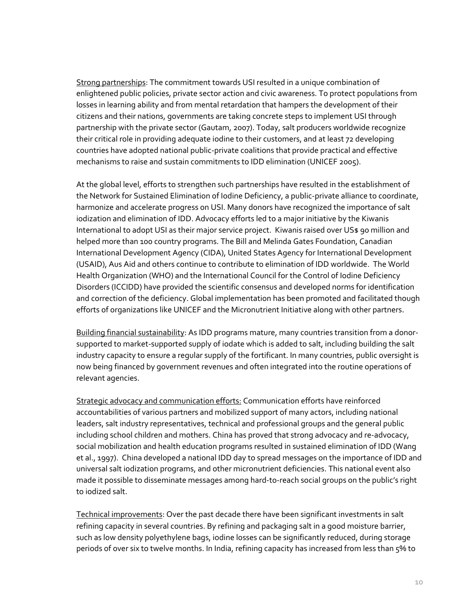Strong partnerships: The commitment towards USI resulted in a unique combination of enlightened public policies, private sector action and civic awareness. To protect populations from losses in learning ability and from mental retardation that hampers the development of their citizens and their nations, governments are taking concrete steps to implement USI through partnership with the private sector (Gautam, 2007). Today, salt producers worldwide recognize their critical role in providing adequate iodine to their customers, and at least 72 developing countries have adopted national public‐private coalitions that provide practical and effective mechanisms to raise and sustain commitments to IDD elimination (UNICEF 2005).

At the global level, efforts to strengthen such partnerships have resulted in the establishment of the Network for Sustained Elimination of Iodine Deficiency, a public‐private alliance to coordinate, harmonize and accelerate progress on USI. Many donors have recognized the importance of salt iodization and elimination of IDD. Advocacy efforts led to a major initiative by the Kiwanis International to adopt USI as their major service project. Kiwanis raised over US\$ 90 million and helped more than 100 country programs. The Bill and Melinda Gates Foundation, Canadian International Development Agency (CIDA), United States Agency for International Development (USAID), Aus Aid and others continue to contribute to elimination of IDD worldwide. The World Health Organization (WHO) and the International Council for the Control of Iodine Deficiency Disorders (ICCIDD) have provided the scientific consensus and developed norms for identification and correction of the deficiency. Global implementation has been promoted and facilitated though efforts of organizations like UNICEF and the Micronutrient Initiative along with other partners.

Building financial sustainability: As IDD programs mature, many countries transition from a donorsupported to market-supported supply of iodate which is added to salt, including building the salt industry capacity to ensure a regular supply of the fortificant. In many countries, public oversight is now being financed by government revenues and often integrated into the routine operations of relevant agencies.

Strategic advocacy and communication efforts: Communication efforts have reinforced accountabilities of various partners and mobilized support of many actors, including national leaders, salt industry representatives, technical and professional groups and the general public including school children and mothers. China has proved that strong advocacy and re‐advocacy, social mobilization and health education programs resulted in sustained elimination of IDD (Wang et al., 1997). China developed a national IDD day to spread messages on the importance of IDD and universal salt iodization programs, and other micronutrient deficiencies. This national event also made it possible to disseminate messages among hard‐to‐reach social groups on the public's right to iodized salt.

Technical improvements: Over the past decade there have been significant investments in salt refining capacity in several countries. By refining and packaging salt in a good moisture barrier, such as low density polyethylene bags, iodine losses can be significantly reduced, during storage periods of over six to twelve months. In India, refining capacity has increased from less than 5% to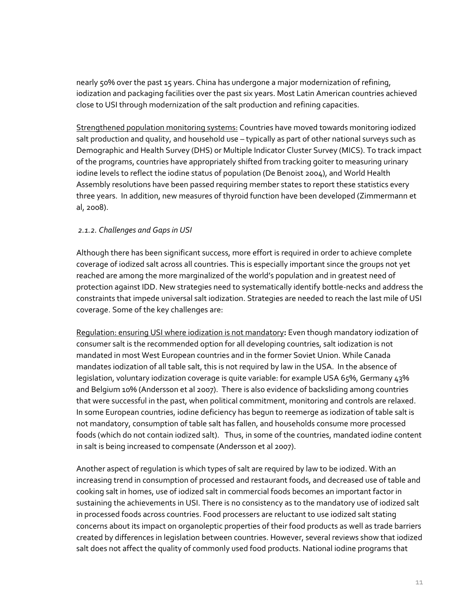nearly 50% over the past 15 years. China has undergone a major modernization of refining, iodization and packaging facilities over the past six years. Most Latin American countries achieved close to USI through modernization of the salt production and refining capacities.

Strengthened population monitoring systems: Countries have moved towards monitoring iodized salt production and quality, and household use - typically as part of other national surveys such as Demographic and Health Survey (DHS) or Multiple Indicator Cluster Survey (MICS). To track impact of the programs, countries have appropriately shifted from tracking goiter to measuring urinary iodine levels to reflect the iodine status of population (De Benoist 2004), and World Health Assembly resolutions have been passed requiring member states to report these statistics every three years. In addition, new measures of thyroid function have been developed (Zimmermann et al, 2008).

### *2.1.2. Challenges and Gaps in USI*

Although there has been significant success, more effort is required in order to achieve complete coverage of iodized salt across all countries. This is especially important since the groups not yet reached are among the more marginalized of the world's population and in greatest need of protection against IDD. New strategies need to systematically identify bottle‐necks and address the constraints that impede universal salt iodization. Strategies are needed to reach the last mile of USI coverage. Some of the key challenges are:

Regulation: ensuring USI where iodization is not mandatory**:** Even though mandatory iodization of consumer salt is the recommended option for all developing countries, salt iodization is not mandated in most West European countries and in the former Soviet Union. While Canada mandates iodization of all table salt, this is not required by law in the USA. In the absence of legislation, voluntary iodization coverage is quite variable: for example USA 65%, Germany 43% and Belgium 10% (Andersson et al 2007). There is also evidence of backsliding among countries that were successful in the past, when political commitment, monitoring and controls are relaxed. In some European countries, iodine deficiency has begun to reemerge as iodization of table salt is not mandatory, consumption of table salt has fallen, and households consume more processed foods (which do not contain iodized salt). Thus, in some of the countries, mandated iodine content in salt is being increased to compensate (Andersson et al 2007).

Another aspect of regulation is which types of salt are required by law to be iodized. With an increasing trend in consumption of processed and restaurant foods, and decreased use of table and cooking salt in homes, use of iodized salt in commercial foods becomes an important factor in sustaining the achievements in USI. There is no consistency as to the mandatory use of iodized salt in processed foods across countries. Food processers are reluctant to use iodized salt stating concerns about its impact on organoleptic properties of their food products as well as trade barriers created by differences in legislation between countries. However, several reviews show that iodized salt does not affect the quality of commonly used food products. National iodine programs that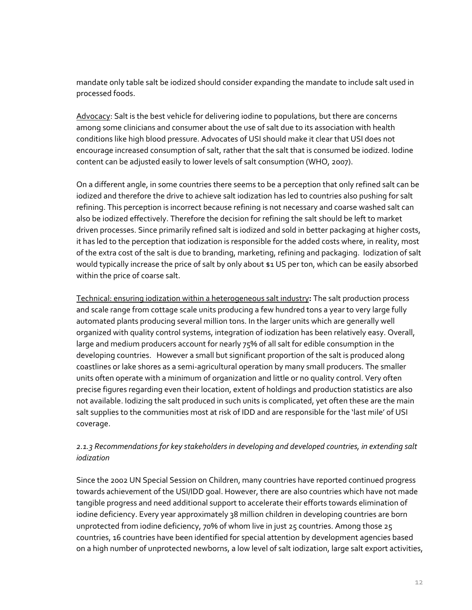mandate only table salt be iodized should consider expanding the mandate to include salt used in processed foods.

Advocacy: Salt is the best vehicle for delivering iodine to populations, but there are concerns among some clinicians and consumer about the use of salt due to its association with health conditions like high blood pressure. Advocates of USI should make it clear that USI does not encourage increased consumption of salt, rather that the salt that is consumed be iodized. Iodine content can be adjusted easily to lower levels of salt consumption (WHO, 2007).

On a different angle, in some countries there seems to be a perception that only refined salt can be iodized and therefore the drive to achieve salt iodization has led to countries also pushing for salt refining. This perception is incorrect because refining is not necessary and coarse washed salt can also be iodized effectively. Therefore the decision for refining the salt should be left to market driven processes. Since primarily refined salt is iodized and sold in better packaging at higher costs, it has led to the perception that iodization is responsible for the added costs where, in reality, most of the extra cost of the salt is due to branding, marketing, refining and packaging. Iodization of salt would typically increase the price of salt by only about \$1 US per ton, which can be easily absorbed within the price of coarse salt.

Technical: ensuring iodization within a heterogeneous salt industry**:** The salt production process and scale range from cottage scale units producing a few hundred tons a year to very large fully automated plants producing several million tons. In the larger units which are generally well organized with quality control systems, integration of iodization has been relatively easy. Overall, large and medium producers account for nearly 75% of all salt for edible consumption in the developing countries. However a small but significant proportion of the salt is produced along coastlines or lake shores as a semi‐agricultural operation by many small producers. The smaller units often operate with a minimum of organization and little or no quality control. Very often precise figures regarding even their location, extent of holdings and production statistics are also not available. Iodizing the salt produced in such units is complicated, yet often these are the main salt supplies to the communities most at risk of IDD and are responsible for the 'last mile' of USI coverage.

## *2.1.3 Recommendations for key stakeholders in developing and developed countries, in extending salt iodization*

Since the 2002 UN Special Session on Children, many countries have reported continued progress towards achievement of the USI/IDD goal. However, there are also countries which have not made tangible progress and need additional support to accelerate their efforts towards elimination of iodine deficiency. Every year approximately 38 million children in developing countries are born unprotected from iodine deficiency, 70% of whom live in just 25 countries. Among those 25 countries, 16 countries have been identified for special attention by development agencies based on a high number of unprotected newborns, a low level of salt iodization, large salt export activities,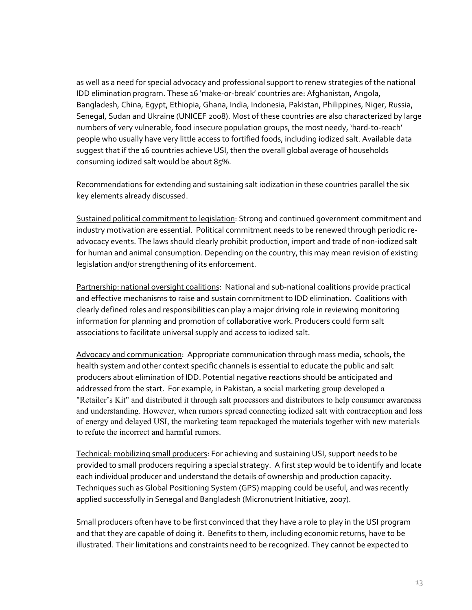as well as a need for special advocacy and professional support to renew strategies of the national IDD elimination program. These 16 'make‐or‐break' countries are: Afghanistan, Angola, Bangladesh, China, Egypt, Ethiopia, Ghana, India, Indonesia, Pakistan, Philippines, Niger, Russia, Senegal, Sudan and Ukraine (UNICEF 2008). Most of these countries are also characterized by large numbers of very vulnerable, food insecure population groups, the most needy, 'hard‐to‐reach' people who usually have very little access to fortified foods, including iodized salt. Available data suggest that if the 16 countries achieve USI, then the overall global average of households consuming iodized salt would be about 85%.

Recommendations for extending and sustaining salt iodization in these countries parallel the six key elements already discussed.

Sustained political commitment to legislation: Strong and continued government commitment and industry motivation are essential. Political commitment needs to be renewed through periodic re‐ advocacy events. The laws should clearly prohibit production, import and trade of non‐iodized salt for human and animal consumption. Depending on the country, this may mean revision of existing legislation and/or strengthening of its enforcement.

Partnership: national oversight coalitions: National and sub-national coalitions provide practical and effective mechanisms to raise and sustain commitment to IDD elimination. Coalitions with clearly defined roles and responsibilities can play a major driving role in reviewing monitoring information for planning and promotion of collaborative work. Producers could form salt associations to facilitate universal supply and access to iodized salt.

Advocacy and communication: Appropriate communication through mass media, schools, the health system and other context specific channels is essential to educate the public and salt producers about elimination of IDD. Potential negative reactions should be anticipated and addressed from the start. For example, in Pakistan, a social marketing group developed a "Retailer's Kit" and distributed it through salt processors and distributors to help consumer awareness and understanding. However, when rumors spread connecting iodized salt with contraception and loss of energy and delayed USI, the marketing team repackaged the materials together with new materials to refute the incorrect and harmful rumors.

Technical: mobilizing small producers: For achieving and sustaining USI, support needs to be provided to small producers requiring a special strategy. A first step would be to identify and locate each individual producer and understand the details of ownership and production capacity. Techniques such as Global Positioning System (GPS) mapping could be useful, and was recently applied successfully in Senegal and Bangladesh (Micronutrient Initiative, 2007).

Small producers often have to be first convinced that they have a role to play in the USI program and that they are capable of doing it. Benefits to them, including economic returns, have to be illustrated. Their limitations and constraints need to be recognized. They cannot be expected to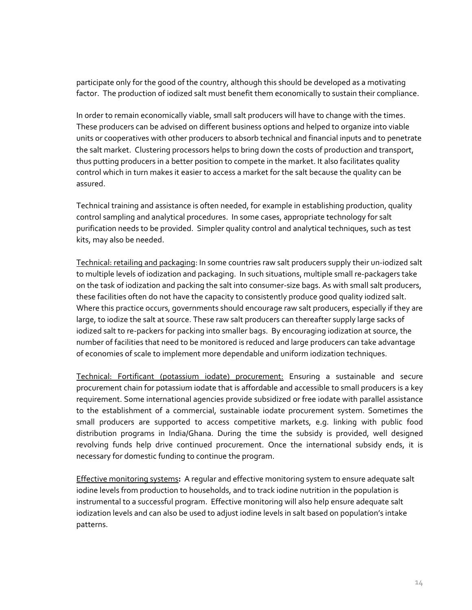participate only for the good of the country, although this should be developed as a motivating factor. The production of iodized salt must benefit them economically to sustain their compliance.

In order to remain economically viable, small salt producers will have to change with the times. These producers can be advised on different business options and helped to organize into viable units or cooperatives with other producers to absorb technical and financial inputs and to penetrate the salt market. Clustering processors helps to bring down the costs of production and transport, thus putting producers in a better position to compete in the market. It also facilitates quality control which in turn makes it easier to access a market for the salt because the quality can be assured.

Technical training and assistance is often needed, for example in establishing production, quality control sampling and analytical procedures. In some cases, appropriate technology for salt purification needs to be provided. Simpler quality control and analytical techniques, such as test kits, may also be needed.

Technical: retailing and packaging: In some countries raw salt producers supply their un-iodized salt to multiple levels of iodization and packaging. In such situations, multiple small re‐packagers take on the task of iodization and packing the salt into consumer‐size bags. As with small salt producers, these facilities often do not have the capacity to consistently produce good quality iodized salt. Where this practice occurs, governments should encourage raw salt producers, especially if they are large, to iodize the salt at source. These raw salt producers can thereafter supply large sacks of iodized salt to re‐packers for packing into smaller bags. By encouraging iodization at source, the number of facilities that need to be monitored is reduced and large producers can take advantage of economies of scale to implement more dependable and uniform iodization techniques.

Technical: Fortificant (potassium iodate) procurement: Ensuring a sustainable and secure procurement chain for potassium iodate that is affordable and accessible to small producers is a key requirement. Some international agencies provide subsidized or free iodate with parallel assistance to the establishment of a commercial, sustainable iodate procurement system. Sometimes the small producers are supported to access competitive markets, e.g. linking with public food distribution programs in India/Ghana. During the time the subsidy is provided, well designed revolving funds help drive continued procurement. Once the international subsidy ends, it is necessary for domestic funding to continue the program.

Effective monitoring systems**:** A regular and effective monitoring system to ensure adequate salt iodine levels from production to households, and to track iodine nutrition in the population is instrumental to a successful program. Effective monitoring will also help ensure adequate salt iodization levels and can also be used to adjust iodine levels in salt based on population's intake patterns.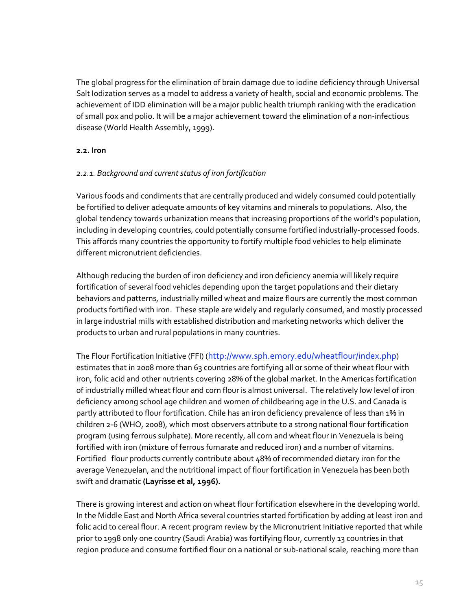The global progress for the elimination of brain damage due to iodine deficiency through Universal Salt Iodization serves as a model to address a variety of health, social and economic problems. The achievement of IDD elimination will be a major public health triumph ranking with the eradication of small pox and polio. It will be a major achievement toward the elimination of a non‐infectious disease (World Health Assembly, 1999).

#### **2.2. Iron**

### *2.2.1. Background and current status of iron fortification*

Various foods and condiments that are centrally produced and widely consumed could potentially be fortified to deliver adequate amounts of key vitamins and minerals to populations. Also, the global tendency towards urbanization means that increasing proportions of the world's population, including in developing countries, could potentially consume fortified industrially‐processed foods. This affords many countries the opportunity to fortify multiple food vehicles to help eliminate different micronutrient deficiencies.

Although reducing the burden of iron deficiency and iron deficiency anemia will likely require fortification of several food vehicles depending upon the target populations and their dietary behaviors and patterns, industrially milled wheat and maize flours are currently the most common products fortified with iron. These staple are widely and regularly consumed, and mostly processed in large industrial mills with established distribution and marketing networks which deliver the products to urban and rural populations in many countries.

The Flour Fortification Initiative (FFI) (http://www.sph.emory.edu/wheatflour/index.php) estimates that in 2008 more than 63 countries are fortifying all or some of their wheat flour with iron, folic acid and other nutrients covering 28% of the global market. In the Americas fortification of industrially milled wheat flour and corn flour is almost universal. The relatively low level of iron deficiency among school age children and women of childbearing age in the U.S. and Canada is partly attributed to flour fortification. Chile has an iron deficiency prevalence of less than 1% in children 2‐6 (WHO, 2008), which most observers attribute to a strong national flour fortification program (using ferrous sulphate). More recently, all corn and wheat flour in Venezuela is being fortified with iron (mixture of ferrous fumarate and reduced iron) and a number of vitamins. Fortified flour products currently contribute about 48% of recommended dietary iron for the average Venezuelan, and the nutritional impact of flour fortification in Venezuela has been both swift and dramatic **(Layrisse et al, 1996).**

There is growing interest and action on wheat flour fortification elsewhere in the developing world. In the Middle East and North Africa several countries started fortification by adding at least iron and folic acid to cereal flour. A recent program review by the Micronutrient Initiative reported that while prior to 1998 only one country (Saudi Arabia) was fortifying flour, currently 13 countries in that region produce and consume fortified flour on a national or sub‐national scale, reaching more than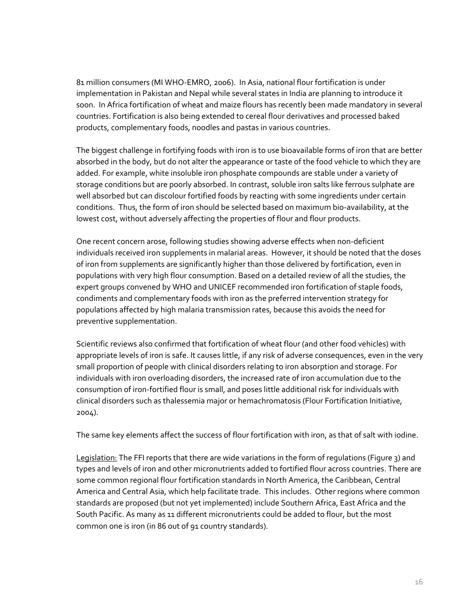81 million consumers (MI WHO‐EMRO, 2006). In Asia, national flour fortification is under implementation in Pakistan and Nepal while several states in India are planning to introduce it soon. In Africa fortification of wheat and maize flours has recently been made mandatory in several countries. Fortification is also being extended to cereal flour derivatives and processed baked products, complementary foods, noodles and pastas in various countries.

The biggest challenge in fortifying foods with iron is to use bioavailable forms of iron that are better absorbed in the body, but do not alter the appearance or taste of the food vehicle to which they are added. For example, white insoluble iron phosphate compounds are stable under a variety of storage conditions but are poorly absorbed. In contrast, soluble iron salts like ferrous sulphate are well absorbed but can discolour fortified foods by reacting with some ingredients under certain conditions. Thus, the form of iron should be selected based on maximum bio-availability, at the lowest cost, without adversely affecting the properties of flour and flour products.

One recent concern arose, following studies showing adverse effects when non-deficient individuals received iron supplements in malarial areas. However, it should be noted that the doses of iron from supplements are significantly higher than those delivered by fortification, even in populations with very high flour consumption. Based on a detailed review of all the studies, the expert groups convened by WHO and UNICEF recommended iron fortification of staple foods, condiments and complementary foods with iron as the preferred intervention strategy for populations affected by high malaria transmission rates, because this avoids the need for preventive supplementation.

Scientific reviews also confirmed that fortification of wheat flour (and other food vehicles) with appropriate levels of iron is safe. It causes little, if any risk of adverse consequences, even in the very small proportion of people with clinical disorders relating to iron absorption and storage. For individuals with iron overloading disorders, the increased rate of iron accumulation due to the consumption of iron‐fortified flour is small, and poses little additional risk for individuals with clinical disorders such as thalessemia major or hemachromatosis (Flour Fortification Initiative, 2004).

The same key elements affect the success of flour fortification with iron, as that of salt with iodine.

Legislation: The FFI reports that there are wide variations in the form of regulations (Figure 3) and types and levels of iron and other micronutrients added to fortified flour across countries. There are some common regional flour fortification standards in North America, the Caribbean, Central America and Central Asia, which help facilitate trade. This includes. Other regions where common standards are proposed (but not yet implemented) include Southern Africa, East Africa and the South Pacific. As many as 11 different micronutrients could be added to flour, but the most common one is iron (in 86 out of 91 country standards).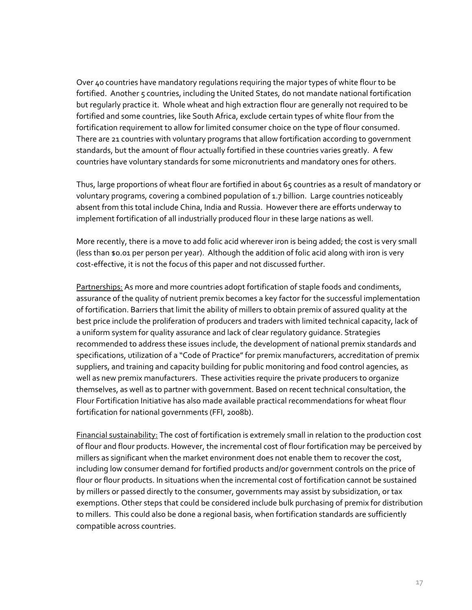Over 40 countries have mandatory regulations requiring the major types of white flour to be fortified. Another 5 countries, including the United States, do not mandate national fortification but regularly practice it. Whole wheat and high extraction flour are generally not required to be fortified and some countries, like South Africa, exclude certain types of white flour from the fortification requirement to allow for limited consumer choice on the type of flour consumed. There are 21 countries with voluntary programs that allow fortification according to government standards, but the amount of flour actually fortified in these countries varies greatly. A few countries have voluntary standards for some micronutrients and mandatory ones for others.

Thus, large proportions of wheat flour are fortified in about 65 countries as a result of mandatory or voluntary programs, covering a combined population of 1.7 billion. Large countries noticeably absent from this total include China, India and Russia. However there are efforts underway to implement fortification of all industrially produced flour in these large nations as well.

More recently, there is a move to add folic acid wherever iron is being added; the cost is very small (less than \$0.01 per person per year). Although the addition of folic acid along with iron is very cost-effective, it is not the focus of this paper and not discussed further.

Partnerships: As more and more countries adopt fortification of staple foods and condiments, assurance of the quality of nutrient premix becomes a key factor for the successful implementation of fortification. Barriers that limit the ability of millers to obtain premix of assured quality at the best price include the proliferation of producers and traders with limited technical capacity, lack of a uniform system for quality assurance and lack of clear regulatory guidance. Strategies recommended to address these issues include, the development of national premix standards and specifications, utilization of a "Code of Practice" for premix manufacturers, accreditation of premix suppliers, and training and capacity building for public monitoring and food control agencies, as well as new premix manufacturers. These activities require the private producers to organize themselves, as well as to partner with government. Based on recent technical consultation, the Flour Fortification Initiative has also made available practical recommendations for wheat flour fortification for national governments (FFI, 2008b).

Financial sustainability: The cost of fortification is extremely small in relation to the production cost of flour and flour products. However, the incremental cost of flour fortification may be perceived by millers as significant when the market environment does not enable them to recover the cost, including low consumer demand for fortified products and/or government controls on the price of flour or flour products. In situations when the incremental cost of fortification cannot be sustained by millers or passed directly to the consumer, governments may assist by subsidization, or tax exemptions. Other steps that could be considered include bulk purchasing of premix for distribution to millers. This could also be done a regional basis, when fortification standards are sufficiently compatible across countries.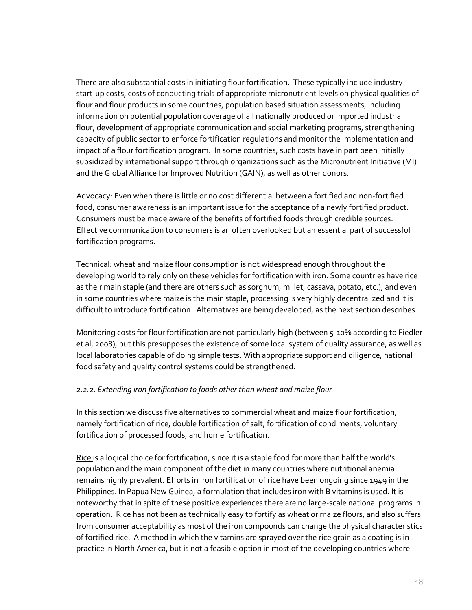There are also substantial costs in initiating flour fortification. These typically include industry start‐up costs, costs of conducting trials of appropriate micronutrient levels on physical qualities of flour and flour products in some countries, population based situation assessments, including information on potential population coverage of all nationally produced or imported industrial flour, development of appropriate communication and social marketing programs, strengthening capacity of public sector to enforce fortification regulations and monitor the implementation and impact of a flour fortification program. In some countries, such costs have in part been initially subsidized by international support through organizations such as the Micronutrient Initiative (MI) and the Global Alliance for Improved Nutrition (GAIN), as well as other donors.

Advocacy: Even when there is little or no cost differential between a fortified and non‐fortified food, consumer awareness is an important issue for the acceptance of a newly fortified product. Consumers must be made aware of the benefits of fortified foods through credible sources. Effective communication to consumers is an often overlooked but an essential part of successful fortification programs.

Technical: wheat and maize flour consumption is not widespread enough throughout the developing world to rely only on these vehicles for fortification with iron. Some countries have rice as their main staple (and there are others such as sorghum, millet, cassava, potato, etc.), and even in some countries where maize is the main staple, processing is very highly decentralized and it is difficult to introduce fortification. Alternatives are being developed, as the next section describes.

Monitoring costs for flour fortification are not particularly high (between 5-10% according to Fiedler et al, 2008), but this presupposes the existence of some local system of quality assurance, as well as local laboratories capable of doing simple tests. With appropriate support and diligence, national food safety and quality control systems could be strengthened.

### *2.2.2. Extending iron fortification to foods other than wheat and maize flour*

In this section we discuss five alternatives to commercial wheat and maize flour fortification, namely fortification of rice, double fortification of salt, fortification of condiments, voluntary fortification of processed foods, and home fortification.

Rice is a logical choice for fortification, since it is a staple food for more than half the world's population and the main component of the diet in many countries where nutritional anemia remains highly prevalent. Efforts in iron fortification of rice have been ongoing since 1949 in the Philippines. In Papua New Guinea, a formulation that includes iron with B vitamins is used. It is noteworthy that in spite of these positive experiences there are no large‐scale national programs in operation. Rice has not been as technically easy to fortify as wheat or maize flours, and also suffers from consumer acceptability as most of the iron compounds can change the physical characteristics of fortified rice. A method in which the vitamins are sprayed over the rice grain as a coating is in practice in North America, but is not a feasible option in most of the developing countries where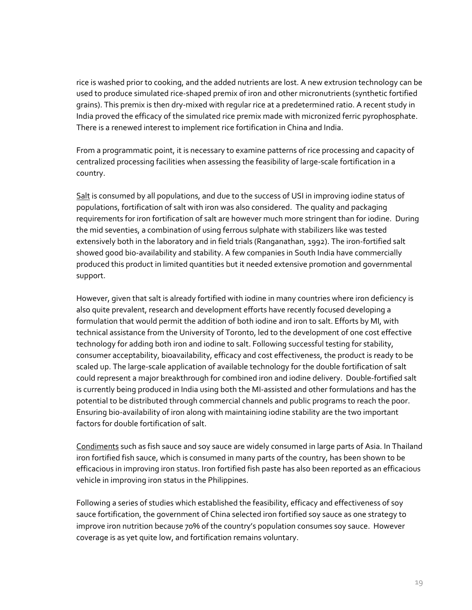rice is washed prior to cooking, and the added nutrients are lost. A new extrusion technology can be used to produce simulated rice‐shaped premix of iron and other micronutrients (synthetic fortified grains). This premix is then dry‐mixed with regular rice at a predetermined ratio. A recent study in India proved the efficacy of the simulated rice premix made with micronized ferric pyrophosphate. There is a renewed interest to implement rice fortification in China and India.

From a programmatic point, it is necessary to examine patterns of rice processing and capacity of centralized processing facilities when assessing the feasibility of large‐scale fortification in a country.

Salt is consumed by all populations, and due to the success of USI in improving iodine status of populations, fortification of salt with iron was also considered. The quality and packaging requirements for iron fortification of salt are however much more stringent than for iodine. During the mid seventies, a combination of using ferrous sulphate with stabilizers like was tested extensively both in the laboratory and in field trials (Ranganathan, 1992). The iron‐fortified salt showed good bio‐availability and stability. A few companies in South India have commercially produced this product in limited quantities but it needed extensive promotion and governmental support.

However, given that salt is already fortified with iodine in many countries where iron deficiency is also quite prevalent, research and development efforts have recently focused developing a formulation that would permit the addition of both iodine and iron to salt. Efforts by MI, with technical assistance from the University of Toronto, led to the development of one cost effective technology for adding both iron and iodine to salt. Following successful testing for stability, consumer acceptability, bioavailability, efficacy and cost effectiveness, the product is ready to be scaled up. The large-scale application of available technology for the double fortification of salt could represent a major breakthrough for combined iron and iodine delivery. Double‐fortified salt is currently being produced in India using both the MI‐assisted and other formulations and has the potential to be distributed through commercial channels and public programs to reach the poor. Ensuring bio‐availability of iron along with maintaining iodine stability are the two important factors for double fortification of salt.

Condiments such as fish sauce and soy sauce are widely consumed in large parts of Asia. In Thailand iron fortified fish sauce, which is consumed in many parts of the country, has been shown to be efficacious in improving iron status. Iron fortified fish paste has also been reported as an efficacious vehicle in improving iron status in the Philippines.

Following a series of studies which established the feasibility, efficacy and effectiveness of soy sauce fortification, the government of China selected iron fortified soy sauce as one strategy to improve iron nutrition because 70% of the country's population consumes soy sauce. However coverage is as yet quite low, and fortification remains voluntary.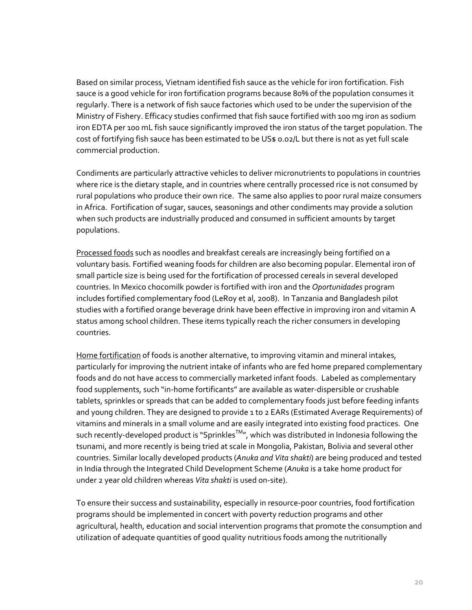Based on similar process, Vietnam identified fish sauce as the vehicle for iron fortification. Fish sauce is a good vehicle for iron fortification programs because 80% of the population consumes it regularly. There is a network of fish sauce factories which used to be under the supervision of the Ministry of Fishery. Efficacy studies confirmed that fish sauce fortified with 100 mg iron as sodium iron EDTA per 100 mL fish sauce significantly improved the iron status of the target population. The cost of fortifying fish sauce has been estimated to be US\$ 0.02/L but there is not as yet full scale commercial production.

Condiments are particularly attractive vehicles to deliver micronutrients to populations in countries where rice is the dietary staple, and in countries where centrally processed rice is not consumed by rural populations who produce their own rice. The same also applies to poor rural maize consumers in Africa. Fortification of sugar, sauces, seasonings and other condiments may provide a solution when such products are industrially produced and consumed in sufficient amounts by target populations.

Processed foods such as noodles and breakfast cereals are increasingly being fortified on a voluntary basis. Fortified weaning foods for children are also becoming popular. Elemental iron of small particle size is being used for the fortification of processed cereals in several developed countries. In Mexico chocomilk powder is fortified with iron and the *Oportunidades* program includes fortified complementary food (LeRoy et al, 2008). In Tanzania and Bangladesh pilot studies with a fortified orange beverage drink have been effective in improving iron and vitamin A status among school children. These items typically reach the richer consumers in developing countries.

Home fortification of foods is another alternative, to improving vitamin and mineral intakes, particularly for improving the nutrient intake of infants who are fed home prepared complementary foods and do not have access to commercially marketed infant foods. Labeled as complementary food supplements, such "in-home fortificants" are available as water-dispersible or crushable tablets, sprinkles or spreads that can be added to complementary foods just before feeding infants and young children. They are designed to provide 1 to 2 EARs (Estimated Average Requirements) of vitamins and minerals in a small volume and are easily integrated into existing food practices. One such recently-developed product is "Sprinkles<sup>™</sup>", which was distributed in Indonesia following the tsunami, and more recently is being tried at scale in Mongolia, Pakistan, Bolivia and several other countries. Similar locally developed products (*Anuka and Vita shakti*) are being produced and tested in India through the Integrated Child Development Scheme (*Anuka* is a take home product for under 2 year old children whereas *Vita shakti* is used on‐site).

To ensure their success and sustainability, especially in resource-poor countries, food fortification programs should be implemented in concert with poverty reduction programs and other agricultural, health, education and social intervention programs that promote the consumption and utilization of adequate quantities of good quality nutritious foods among the nutritionally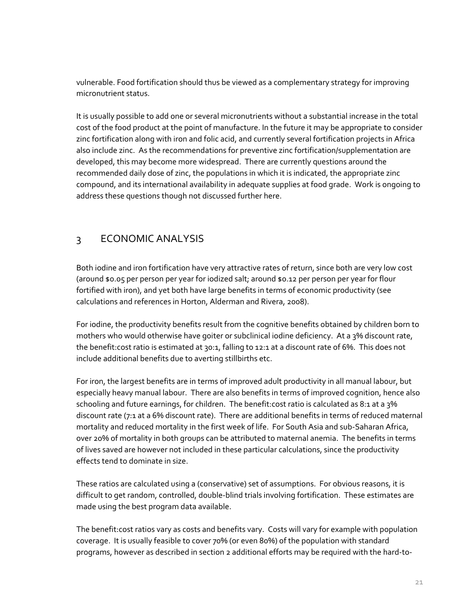vulnerable. Food fortification should thus be viewed as a complementary strategy for improving micronutrient status.

It is usually possible to add one or several micronutrients without a substantial increase in the total cost of the food product at the point of manufacture. In the future it may be appropriate to consider zinc fortification along with iron and folic acid, and currently several fortification projects in Africa also include zinc. As the recommendations for preventive zinc fortification/supplementation are developed, this may become more widespread. There are currently questions around the recommended daily dose of zinc, the populations in which it is indicated, the appropriate zinc compound, and its international availability in adequate supplies at food grade. Work is ongoing to address these questions though not discussed further here.

# 3 ECONOMIC ANALYSIS

Both iodine and iron fortification have very attractive rates of return, since both are very low cost (around \$0.05 per person per year for iodized salt; around \$0.12 per person per year for flour fortified with iron), and yet both have large benefits in terms of economic productivity (see calculations and references in Horton, Alderman and Rivera, 2008).

For iodine, the productivity benefits result from the cognitive benefits obtained by children born to mothers who would otherwise have goiter or subclinical iodine deficiency. At a 3% discount rate, the benefit:cost ratio is estimated at 30:1, falling to 12:1 at a discount rate of 6%. This does not include additional benefits due to averting stillbirths etc.

For iron, the largest benefits are in terms of improved adult productivity in all manual labour, but especially heavy manual labour. There are also benefits in terms of improved cognition, hence also schooling and future earnings, for children. The benefit:cost ratio is calculated as 8:1 at a 3% discount rate (7:1 at a 6% discount rate). There are additional benefits in terms of reduced maternal mortality and reduced mortality in the first week of life. For South Asia and sub‐Saharan Africa, over 20% of mortality in both groups can be attributed to maternal anemia. The benefits in terms of lives saved are however not included in these particular calculations, since the productivity effects tend to dominate in size.

These ratios are calculated using a (conservative) set of assumptions. For obvious reasons, it is difficult to get random, controlled, double‐blind trials involving fortification. These estimates are made using the best program data available.

The benefit:cost ratios vary as costs and benefits vary. Costs will vary for example with population coverage. It is usually feasible to cover 70% (or even 80%) of the population with standard programs, however as described in section 2 additional efforts may be required with the hard‐to‐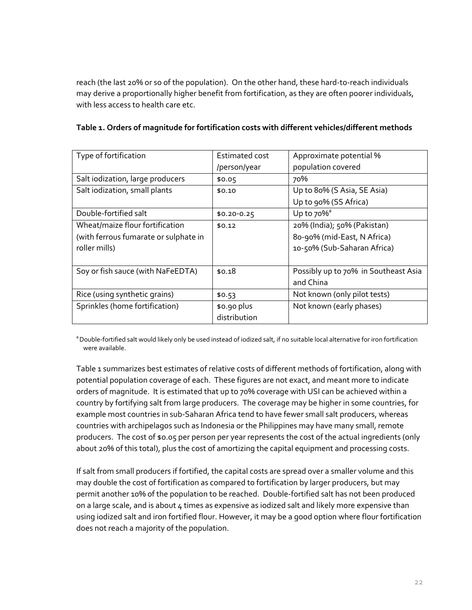reach (the last 20% or so of the population). On the other hand, these hard‐to‐reach individuals may derive a proportionally higher benefit from fortification, as they are often poorer individuals, with less access to health care etc.

| Type of fortification                 | Estimated cost | Approximate potential %              |  |
|---------------------------------------|----------------|--------------------------------------|--|
|                                       | /person/year   | population covered                   |  |
| Salt iodization, large producers      | \$0.05         | 70%                                  |  |
| Salt iodization, small plants         | \$0.10         | Up to 80% (S Asia, SE Asia)          |  |
|                                       |                | Up to 90% (SS Africa)                |  |
| Double-fortified salt                 | $$0.20 - 0.25$ | Up to $70\%$ <sup>ª</sup>            |  |
| Wheat/maize flour fortification       | \$0.12         | 20% (India); 50% (Pakistan)          |  |
| (with ferrous fumarate or sulphate in |                | 80-90% (mid-East, N Africa)          |  |
| roller mills)                         |                | 10-50% (Sub-Saharan Africa)          |  |
|                                       |                |                                      |  |
| Soy or fish sauce (with NaFeEDTA)     | \$0.18         | Possibly up to 70% in Southeast Asia |  |
|                                       |                | and China                            |  |
| Rice (using synthetic grains)         | \$0.53         | Not known (only pilot tests)         |  |
| Sprinkles (home fortification)        | \$0.90 plus    | Not known (early phases)             |  |
|                                       | distribution   |                                      |  |

#### **Table 1. Orders of magnitude for fortification costs with different vehicles/different methods**

a Double-fortified salt would likely only be used instead of iodized salt, if no suitable local alternative for iron fortification were available.

Table 1 summarizes best estimates of relative costs of different methods of fortification, along with potential population coverage of each. These figures are not exact, and meant more to indicate orders of magnitude. It is estimated that up to 70% coverage with USI can be achieved within a country by fortifying salt from large producers. The coverage may be higher in some countries, for example most countries in sub‐Saharan Africa tend to have fewer small salt producers, whereas countries with archipelagos such as Indonesia or the Philippines may have many small, remote producers. The cost of \$0.05 per person per year represents the cost of the actual ingredients (only about 20% of this total), plus the cost of amortizing the capital equipment and processing costs.

If salt from small producers if fortified, the capital costs are spread over a smaller volume and this may double the cost of fortification as compared to fortification by larger producers, but may permit another 10% of the population to be reached. Double‐fortified salt has not been produced on a large scale, and is about 4 times as expensive as iodized salt and likely more expensive than using iodized salt and iron fortified flour. However, it may be a good option where flour fortification does not reach a majority of the population.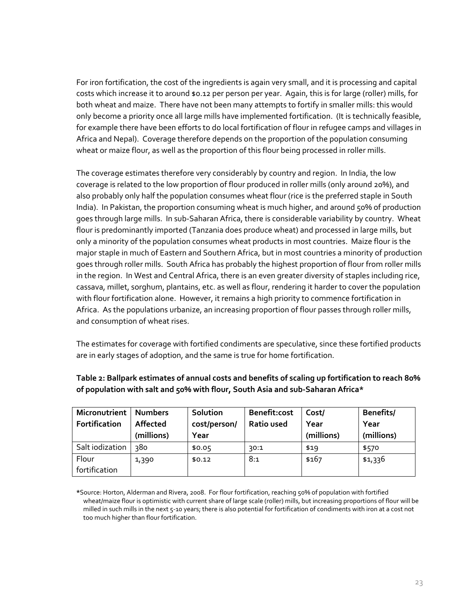For iron fortification, the cost of the ingredients is again very small, and it is processing and capital costs which increase it to around \$0.12 per person per year. Again, this is for large (roller) mills, for both wheat and maize. There have not been many attempts to fortify in smaller mills: this would only become a priority once all large mills have implemented fortification. (It is technically feasible, for example there have been efforts to do local fortification of flour in refugee camps and villages in Africa and Nepal). Coverage therefore depends on the proportion of the population consuming wheat or maize flour, as well as the proportion of this flour being processed in roller mills.

The coverage estimates therefore very considerably by country and region. In India, the low coverage is related to the low proportion of flour produced in roller mills (only around 20%), and also probably only half the population consumes wheat flour (rice is the preferred staple in South India). In Pakistan, the proportion consuming wheat is much higher, and around 50% of production goes through large mills. In sub‐Saharan Africa, there is considerable variability by country. Wheat flour is predominantly imported (Tanzania does produce wheat) and processed in large mills, but only a minority of the population consumes wheat products in most countries. Maize flour is the major staple in much of Eastern and Southern Africa, but in most countries a minority of production goes through roller mills. South Africa has probably the highest proportion of flour from roller mills in the region. In West and Central Africa, there is an even greater diversity of staples including rice, cassava, millet, sorghum, plantains, etc. as well as flour, rendering it harder to cover the population with flour fortification alone. However, it remains a high priority to commence fortification in Africa. As the populations urbanize, an increasing proportion of flour passes through roller mills, and consumption of wheat rises.

The estimates for coverage with fortified condiments are speculative, since these fortified products are in early stages of adoption, and the same is true for home fortification.

| Micronutrient   Numbers |            | Solution     | Benefit:cost | Cost/      | Benefits/  |
|-------------------------|------------|--------------|--------------|------------|------------|
| Fortification           | Affected   | cost/person/ | Ratio used   | Year       | Year       |
|                         | (millions) | Year         |              | (millions) | (millions) |
| Salt iodization         | 380        | \$0.05       | 30:1         | \$19       | \$570      |
| Flour                   | 1,390      | \$0.12       | 8:1          | \$167      | \$1,336    |
| fortification           |            |              |              |            |            |

## **Table 2: Ballpark estimates of annual costs and benefits of scaling up fortification to reach 80% of population with salt and 50% with flour, South Asia and sub‐Saharan Africa\***

**\***Source: Horton, Alderman and Rivera, 2008. For flour fortification, reaching 50% of population with fortified wheat/maize flour is optimistic with current share of large scale (roller) mills, but increasing proportions of flour will be milled in such mills in the next 5‐10 years; there is also potential for fortification of condiments with iron at a cost not too much higher than flour fortification.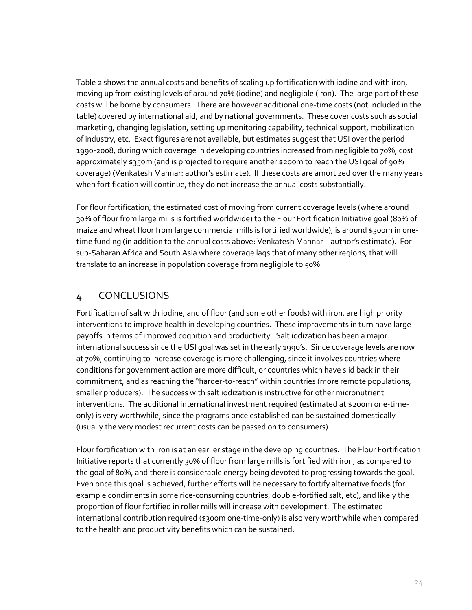Table 2 shows the annual costs and benefits of scaling up fortification with iodine and with iron, moving up from existing levels of around 70% (iodine) and negligible (iron). The large part of these costs will be borne by consumers. There are however additional one‐time costs (not included in the table) covered by international aid, and by national governments. These cover costs such as social marketing, changing legislation, setting up monitoring capability, technical support, mobilization of industry, etc. Exact figures are not available, but estimates suggest that USI over the period 1990‐2008, during which coverage in developing countries increased from negligible to 70%, cost approximately \$350m (and is projected to require another \$200m to reach the USI goal of 90% coverage) (Venkatesh Mannar: author's estimate). If these costs are amortized over the many years when fortification will continue, they do not increase the annual costs substantially.

For flour fortification, the estimated cost of moving from current coverage levels (where around 30% of flour from large mills is fortified worldwide) to the Flour Fortification Initiative goal (80% of maize and wheat flour from large commercial mills is fortified worldwide), is around \$300m in onetime funding (in addition to the annual costs above: Venkatesh Mannar – author's estimate). For sub‐Saharan Africa and South Asia where coverage lags that of many other regions, that will translate to an increase in population coverage from negligible to 50%.

# 4 CONCLUSIONS

Fortification of salt with iodine, and of flour (and some other foods) with iron, are high priority interventions to improve health in developing countries. These improvements in turn have large payoffs in terms of improved cognition and productivity. Salt iodization has been a major international success since the USI goal was set in the early 1990's. Since coverage levels are now at 70%, continuing to increase coverage is more challenging, since it involves countries where conditions for government action are more difficult, or countries which have slid back in their commitment, and as reaching the "harder-to-reach" within countries (more remote populations, smaller producers). The success with salt iodization is instructive for other micronutrient interventions. The additional international investment required (estimated at \$200m one-timeonly) is very worthwhile, since the programs once established can be sustained domestically (usually the very modest recurrent costs can be passed on to consumers).

Flour fortification with iron is at an earlier stage in the developing countries. The Flour Fortification Initiative reports that currently 30% of flour from large mills is fortified with iron, as compared to the goal of 80%, and there is considerable energy being devoted to progressing towards the goal. Even once this goal is achieved, further efforts will be necessary to fortify alternative foods (for example condiments in some rice‐consuming countries, double‐fortified salt, etc), and likely the proportion of flour fortified in roller mills will increase with development. The estimated international contribution required (\$300m one‐time‐only) is also very worthwhile when compared to the health and productivity benefits which can be sustained.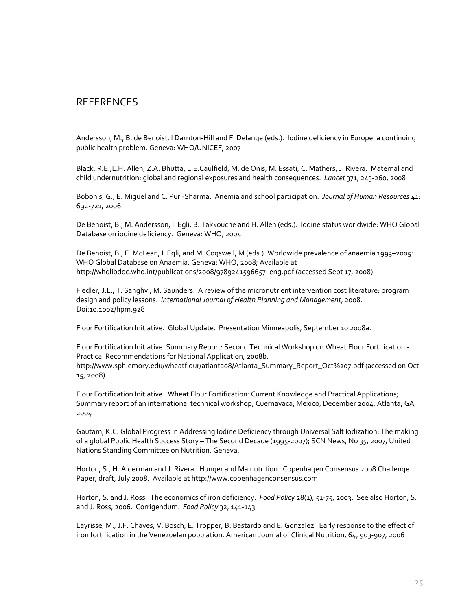# **REFERENCES**

Andersson, M., B. de Benoist, I Darnton‐Hill and F. Delange (eds.). Iodine deficiency in Europe: a continuing public health problem. Geneva: WHO/UNICEF, 2007

Black, R.E.,L.H. Allen, Z.A. Bhutta, L.E.Caulfield, M. de Onis, M. Essati, C. Mathers, J. Rivera. Maternal and child undernutrition: global and regional exposures and health consequences. *Lancet* 371, 243‐260, 2008

Bobonis, G., E. Miguel and C. Puri‐Sharma. Anemia and school participation. *Journal of Human Resources* 41: 692‐721, 2006.

De Benoist, B., M. Andersson, I. Egli, B. Takkouche and H. Allen (eds.). Iodine status worldwide: WHO Global Database on iodine deficiency. Geneva: WHO, 2004

De Benoist, B., E. McLean, I. Egli, and M. Cogswell, M (eds.). Worldwide prevalence of anaemia 1993–2005: WHO Global Database on Anaemia. Geneva: WHO, 2008; Available at http://whqlibdoc.who.int/publications/2008/9789241596657\_eng.pdf (accessed Sept 17, 2008)

Fiedler, J.L., T. Sanghvi, M. Saunders. A review of the micronutrient intervention cost literature: program design and policy lessons. *International Journal of Health Planning and Management*, 2008. Doi:10.1002/hpm.928

Flour Fortification Initiative. Global Update. Presentation Minneapolis, September 10 2008a.

Flour Fortification Initiative. Summary Report: Second Technical Workshop on Wheat Flour Fortification ‐ Practical Recommendations for National Application, 2008b. http://www.sph.emory.edu/wheatflour/atlanta08/Atlanta\_Summary\_Report\_Oct%207.pdf (accessed on Oct

15, 2008)

Flour Fortification Initiative. Wheat Flour Fortification: Current Knowledge and Practical Applications; Summary report of an international technical workshop, Cuernavaca, Mexico, December 2004, Atlanta, GA, 2004

Gautam, K.C. Global Progress in Addressing Iodine Deficiency through Universal Salt Iodization: The making of a global Public Health Success Story – The Second Decade (1995‐2007); SCN News, No 35, 2007, United Nations Standing Committee on Nutrition, Geneva.

Horton, S., H. Alderman and J. Rivera. Hunger and Malnutrition. Copenhagen Consensus 2008 Challenge Paper, draft, July 2008. Available at http://www.copenhagenconsensus.com

Horton, S. and J. Ross. The economics of iron deficiency. *Food Policy* 28(1), 51‐75, 2003. See also Horton, S. and J. Ross, 2006. Corrigendum. *Food Policy* 32, 141‐143

Layrisse, M., J.F. Chaves, V. Bosch, E. Tropper, B. Bastardo and E. Gonzalez. Early response to the effect of iron fortification in the Venezuelan population. American Journal of Clinical Nutrition, 64, 903‐907, 2006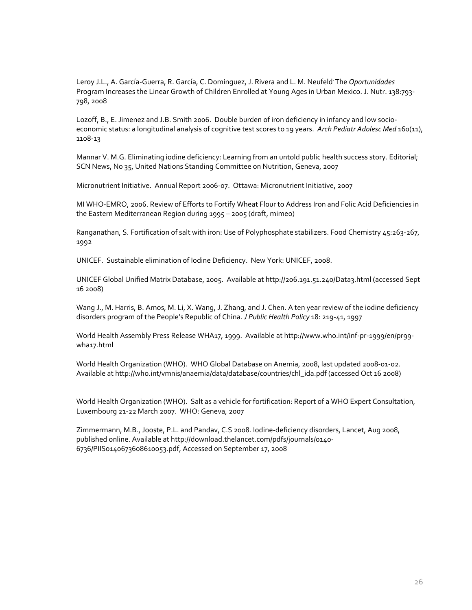Leroy J.L., A. García‐Guerra, R. García, C. Dominguez, J. Rivera and L. M. Neufeld. The *Oportunidades* Program Increases the Linear Growth of Children Enrolled at Young Ages in Urban Mexico. J. Nutr. 138:793‐ 798, 2008

Lozoff, B., E. Jimenez and J.B. Smith 2006. Double burden of iron deficiency in infancy and low socio‐ economic status: a longitudinal analysis of cognitive test scores to 19 years. *Arch Pediatr Adolesc Med* 160(11), 1108‐13

Mannar V. M.G. Eliminating iodine deficiency: Learning from an untold public health success story. Editorial; SCN News, No 35, United Nations Standing Committee on Nutrition, Geneva, 2007

Micronutrient Initiative. Annual Report 2006‐07. Ottawa: Micronutrient Initiative, 2007

MI WHO‐EMRO, 2006. Review of Efforts to Fortify Wheat Flour to Address Iron and Folic Acid Deficiencies in the Eastern Mediterranean Region during 1995 – 2005 (draft, mimeo)

Ranganathan, S. Fortification of salt with iron: Use of Polyphosphate stabilizers. Food Chemistry 45:263‐267, 1992

UNICEF. Sustainable elimination of Iodine Deficiency. New York: UNICEF, 2008.

UNICEF Global Unified Matrix Database, 2005. Available at http://206.191.51.240/Data3.html (accessed Sept 16 2008)

Wang J., M. Harris, B. Amos, M. Li, X. Wang, J. Zhang, and J. Chen. A ten year review of the iodine deficiency disorders program of the People's Republic of China. *J Public Health Policy* 18: 219‐41, 1997

World Health Assembly Press Release WHA17, 1999. Available at http://www.who.int/inf‐pr‐1999/en/pr99‐ wha17.html

World Health Organization (WHO). WHO Global Database on Anemia, 2008, last updated 2008‐01‐02. Available at http://who.int/vmnis/anaemia/data/database/countries/chl\_ida.pdf (accessed Oct 16 2008)

World Health Organization (WHO). Salt as a vehicle for fortification: Report of a WHO Expert Consultation, Luxembourg 21‐22 March 2007. WHO: Geneva, 2007

Zimmermann, M.B., Jooste, P.L. and Pandav, C.S 2008. Iodine‐deficiency disorders, Lancet, Aug 2008, published online. Available at http://download.thelancet.com/pdfs/journals/0140‐ 6736/PIIS0140673608610053.pdf, Accessed on September 17, 2008